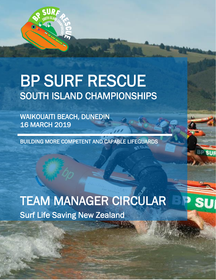

# BP SURF RESCUE<br>SOUTH ISLAND CHAMPIONSHIPS

WAIKOUAITI BEACH, DUNEDIN 16 MARCH 2019

BUILDING MORE COMPETENT AND CAPABLE LIFEGUARDS

Surf Life Saving New Zealand TEAM MANAGER CIRCULAR

1

Su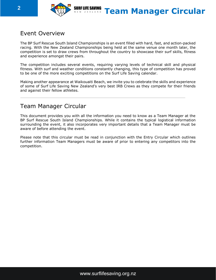

# **2 EXERCISE SURFLIFE SAVING Team Manager Circular**

# Event Overview

The BP Surf Rescue South Island Championships is an event filled with hard, fast, and action-packed racing. With the New Zealand Championships being held at the same venue one month later, the competition is set to draw crews from throughout the country to showcase their surf skills, fitness and experience amongst their pairs.

The competition includes several events, requiring varying levels of technical skill and physical fitness. With surf and weather conditions constantly changing, this type of competition has proved to be one of the more exciting competitions on the Surf Life Saving calendar.

Making another appearance at Waikouaiti Beach, we invite you to celebrate the skills and experience of some of Surf Life Saving New Zealand's very best IRB Crews as they compete for their friends and against their fellow athletes.

# Team Manager Circular

This document provides you with all the information you need to know as a Team Manager at the BP Surf Rescue South Island Championships. While it contains the typical logistical information surrounding the event, it also incorporates very important details that a Team Manager must be aware of before attending the event.

Please note that this circular must be read in conjunction with the Entry Circular which outlines further information Team Managers must be aware of prior to entering any competitors into the competition.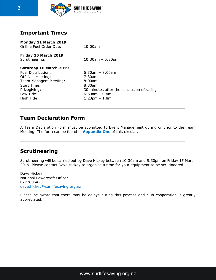

# **Important Times**

| Monday 11 March 2019<br>Online Fuel Order Due:                                                                                                                | 10:00am                                                                                                                                 |
|---------------------------------------------------------------------------------------------------------------------------------------------------------------|-----------------------------------------------------------------------------------------------------------------------------------------|
| Friday 15 March 2019<br>Scrutineering:                                                                                                                        | $10:30$ am - 5:30pm                                                                                                                     |
| Saturday 16 March 2019<br>Fuel Distribution:<br><b>Officials Meeting:</b><br>Team Managers Meeting:<br>Start Time:<br>Prizegiving:<br>Low Tide:<br>High Tide: | $6:30$ am - 8:00am<br>7:30am<br>8:00am<br>8:30am<br>30 minutes after the conclusion of racing<br>$6:59$ am – 0.4m<br>$1:23$ pm $-1.8$ m |
|                                                                                                                                                               |                                                                                                                                         |

# **Team Declaration Form**

A Team Declaration Form must be submitted to Event Management during or prior to the Team Meeting. The form can be found in **Appendix One** of this circular.

# **Scrutineering**

Scrutineering will be carried out by Dave Hickey between 10:30am and 5:30pm on Friday 15 March 2019. Please contact Dave Hickey to organise a time for your equipment to be scrutineered.

Dave Hickey National Powercraft Officer 0272806420 [dave.hickey@surflifesaving.org.nz](mailto:dave.hickey@surflifesaving.org.nz)

Please be aware that there may be delays during this process and club cooperation is greatly appreciated.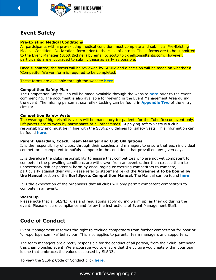

# **Event Safety**

#### **Pre-Existing Medical Conditions**

All participants with a pre-existing medical condition must complete and submit a 'Pre-Existing Medical Conditions Declaration' form prior to the close of entries. These forms are to be submitted to the Event Manager (Scott Bicknell) by email to scott@bicknellconsultants.com. However, participants are encouraged to submit these as early as possible.

Once submitted, the forms will be reviewed by SLSNZ and a decision will be made on whether a 'Competitor Waiver' form is required to be completed.

These forms are available through the website **[here](https://www.surflifesaving.org.nz/calendar/2019/march/bp-south-island-irb-championships)**.

#### **Competition Safety Plan**

The Competition Safety Plan will be made available through the website **[here](https://www.surflifesaving.org.nz/calendar/2019/march/bp-surf-rescue-south-island-championships)** prior to the event commencing. The document is also available for viewing in the Event Management Area during the event. The missing person at sea reflex tasking can be found in **Appendix Two** of the entry circular.

#### **Competition Safety Vests**

The wearing of high visibility vests will be mandatory for patients for the Tube Rescue event only. Lifejackets are to worn by participants at all other times. Supplying safety vests is a club responsibility and must be in line with the SLSNZ guidelines for safety vests. This information can be found **[here](http://www.surflifesaving.org.nz/clubhouse/slsnzhighvisibilityvests)**.

#### **Parent, Guardian, Coach, Team Manager and Club Obligations**

It is the responsibility of clubs, through their coaches and manager, to ensure that each individual competitor is competent to **safely** compete in the conditions that prevail on any given day.

It is therefore the clubs responsibility to ensure that competitors who are not yet competent to compete in the prevailing conditions are withdrawn from an event rather than expose them to unnecessary risk or potential harm by encouraging or coercing competitors to compete, particularly against their will. Please refer to statement (e) of the **Agreement to be bound by the Manual** section of the **Surf Sports Competition Manual.** The Manual can be found **[here](http://www.surflifesaving.org.nz/sport/about-us/surf-sport-manual/)**.

It is the expectation of the organisers that all clubs will only permit competent competitors to compete in an event.

#### **Warm Up**

Please note that all SLSNZ rules and regulations apply during warm up, as they do during the event. Please ensure compliance and follow the instructions of Event Management Staff.

# **Code of Conduct**

Event Management reserves the right to exclude competitors from further competition for poor or 'un-sportsperson like' behaviour. This also applies to parents, team managers and supporters.

The team managers are directly responsible for the conduct of all person, from their club, attending this championship event. We encourage you to ensure that the culture you create within your team is one that embraces the values espoused by SLSNZ.

To view the SLSNZ Code of Conduct click **[here](https://www.surflifesaving.org.nz/organisation/about-us/management-documents)**.

www.surflifesaving.org.nz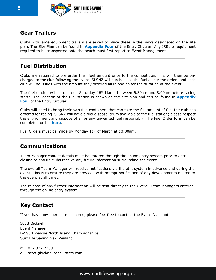

# **Gear Trailers**

Clubs with large equipment trailers are asked to place these in the parks designated on the site plan. The Site Plan can be found in **Appendix Four** of the Entry Circular. Any IRBs or equipment required to be transported onto the beach must first report to Event Management.

# **Fuel Distribution**

Clubs are required to pre order their fuel amount prior to the competition. This will then be oncharged to the club following the event. SLSNZ will purchase all the fuel as per the orders and each club will be issues with the amount they ordered all in one go for the duration of the event.

The fuel station will be open on Saturday 16<sup>th</sup> March between 6.30am and 8.00am before racing starts. The location of the fuel station is shown on the site plan and can be found in **Appendix Four** of the Entry Circular

Clubs will need to bring their own fuel containers that can take the full amount of fuel the club has ordered for racing. SLSNZ will have a fuel disposal drum available at the fuel station; please respect the environment and dispose of all or any unwanted fuel responsibly. The Fuel Order form can be completed online **[here](https://www.surveymonkey.com/r/DBBSGTZ)**.

Fuel Orders must be made by Monday 11<sup>th</sup> of March at 10:00am.

# **Communications**

Team Manager contact details must be entered through the online entry system prior to entries closing to ensure clubs receive any future information surrounding the event.

The overall Team Manager will receive notifications via the etxt system in advance and during the event. This is to ensure they are provided with prompt notification of any developments related to the event at all times.

The release of any further information will be sent directly to the Overall Team Managers entered through the online entry system.

# **Key Contact**

If you have any queries or concerns, please feel free to contact the Event Assistant.

Scott Bicknell Event Manager BP Surf Rescue North Island Championships Surf Life Saving New Zealand

m 027 327 7339 e scott@bicknellconsultants.com